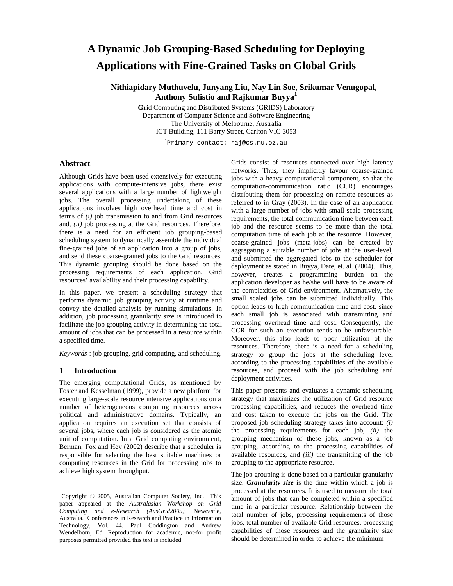# **A Dynamic Job Grouping-Based Scheduling for Deploying Applications with Fine-Grained Tasks on Global Grids**

**Nithiapidary Muthuvelu, Junyang Liu, Nay Lin Soe, Srikumar Venugopal, Anthony Sulistio and Rajkumar Buyya 1**

> **Gr**id Computing and **D**istributed **S**ystems (GRIDS) Laboratory Department of Computer Science and Software Engineering The University of Melbourne, Australia ICT Building, 111 Barry Street, Carlton VIC 3053

> > 1 Primary contact: raj@cs.mu.oz.au

# **Abstract**

Although Grids have been used extensively for executing applications with compute-intensive jobs, there exist several applications with a large number of lightweight jobs. The overall processing undertaking of these applications involves high overhead time and cost in terms of *(i)* job transmission to and from Grid resources and, *(ii)* job processing at the Grid resources. Therefore, there is a need for an efficient job grouping-based scheduling system to dynamically assemble the individual fine-grained jobs of an application into a group of jobs, and send these coarse-grained jobs to the Grid resources. This dynamic grouping should be done based on the processing requirements of each application, Grid resources' availability and their processing capability.

In this paper, we present a scheduling strategy that performs dynamic job grouping activity at runtime and convey the detailed analysis by running simulations. In addition, job processing granularity size is introduced to facilitate the job grouping activity in determining the total amount of jobs that can be processed in a resource within a specified time.

 $Keywords^{\epsilon}$ : job grouping, grid computing, and scheduling.

#### **1 Introduction**

The emerging computational Grids, as mentioned by Foster and Kesselman (1999), provide a new platform for executing large-scale resource intensive applications on a number of heterogeneous computing resources across political and administrative domains. Typically, an application requires an execution set that consists of several jobs, where each job is considered as the atomic unit of computation. In a Grid computing environment, Berman, Fox and Hey (2002) describe that a scheduler is responsible for selecting the best suitable machines or computing resources in the Grid for processing jobs to achieve high system throughput.

Grids consist of resources connected over high latency networks. Thus, they implicitly favour coarse-grained jobs with a heavy computational component, so that the computation-communication ratio (CCR) encourages distributing them for processing on remote resources as referred to in Gray (2003). In the case of an application with a large number of jobs with small scale processing requirements, the total communication time between each job and the resource seems to be more than the total computation time of each job at the resource. However, coarse-grained jobs (meta-jobs) can be created by aggregating a suitable number of jobs at the user-level, and submitted the aggregated jobs to the scheduler for deployment as stated in Buyya, Date, et. al. (2004). This, however, creates a programming burden on the application developer as he/she will have to be aware of the complexities of Grid environment. Alternatively, the small scaled jobs can be submitted individually. This option leads to high communication time and cost, since each small job is associated with transmitting and processing overhead time and cost. Consequently, the CCR for such an execution tends to be unfavourable. Moreover, this also leads to poor utilization of the resources. Therefore, there is a need for a scheduling strategy to group the jobs at the scheduling level according to the processing capabilities of the available resources, and proceed with the job scheduling and deployment activities.

This paper presents and evaluates a dynamic scheduling strategy that maximizes the utilization of Grid resource processing capabilities, and reduces the overhead time and cost taken to execute the jobs on the Grid. The proposed job scheduling strategy takes into account: *(i)* the processing requirements for each job, *(ii)* the grouping mechanism of these jobs, known as a job grouping, according to the processing capabilities of available resources, and *(iii)* the transmitting of the job grouping to the appropriate resource.

The job grouping is done based on a particular granularity size. *Granularity size* is the time within which a job is processed at the resources. It is used to measure the total amount of jobs that can be completed within a specified time in a particular resource. Relationship between the total number of jobs, processing requirements of those jobs, total number of available Grid resources, processing capabilities of those resources and the granularity size should be determined in order to achieve the minimum

<sup>€</sup> Copyright © 2005, Australian Computer Society, Inc. This paper appeared at the *Australasian Workshop on Grid Computing and e-Research (AusGrid2005)*, Newcastle, Australia. Conferences in Research and Practice in Information Technology, Vol. 44. Paul Coddington and Andrew Wendelborn, Ed. Reproduction for academic, not-for profit purposes permitted provided this text is included.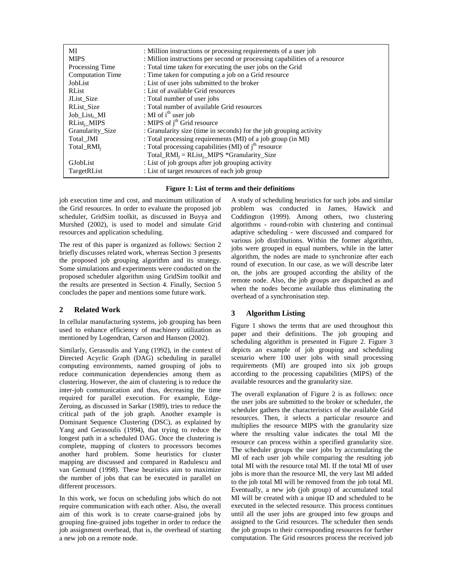| МI                      | : Million instructions or processing requirements of a user job            |
|-------------------------|----------------------------------------------------------------------------|
| <b>MIPS</b>             | : Million instructions per second or processing capabilities of a resource |
| Processing Time         | : Total time taken for executing the user jobs on the Grid                 |
| <b>Computation Time</b> | : Time taken for computing a job on a Grid resource                        |
| JobList                 | : List of user jobs submitted to the broker                                |
| <b>RList</b>            | : List of available Grid resources                                         |
| JList Size              | : Total number of user jobs                                                |
| RList Size              | : Total number of available Grid resources                                 |
| Job List, MI            | : MI of $ith$ user job                                                     |
| $RList_i$ _MIPS         | : MIPS of $jth$ Grid resource                                              |
| Granularity_Size        | : Granularity size (time in seconds) for the job grouping activity         |
| Total_JMI               | : Total processing requirements (MI) of a job group (in MI)                |
| Total $RMI_i$           | : Total processing capabilities (MI) of j <sup>th</sup> resource           |
|                         | $Total\_RMI_i = RList_i_MIPS * Granularity_Size$                           |
| GJobList                | : List of job groups after job grouping activity                           |
| TargetRList             | : List of target resources of each job group                               |



job execution time and cost, and maximum utilization of the Grid resources. In order to evaluate the proposed job scheduler, GridSim toolkit, as discussed in Buyya and Murshed (2002), is used to model and simulate Grid resources and application scheduling.

The rest of this paper is organized as follows: Section 2 briefly discusses related work, whereas Section 3 presents the proposed job grouping algorithm and its strategy. Some simulations and experiments were conducted on the proposed scheduler algorithm using GridSim toolkit and the results are presented in Section 4. Finally, Section 5 concludes the paper and mentions some future work.

# **2 Related Work**

In cellular manufacturing systems, job grouping has been used to enhance efficiency of machinery utilization as mentioned by Logendran, Carson and Hanson (2002).

Similarly, Gerasoulis and Yang (1992), in the context of Directed Acyclic Graph (DAG) scheduling in parallel computing environments, named grouping of jobs to reduce communication dependencies among them as clustering. However, the aim of clustering is to reduce the inter-job communication and thus, decreasing the time required for parallel execution. For example, Edge-Zeroing, as discussed in Sarkar (1989), tries to reduce the critical path of the job graph. Another example is Dominant Sequence Clustering (DSC), as explained by Yang and Gerasoulis (1994), that trying to reduce the longest path in a scheduled DAG. Once the clustering is complete, mapping of clusters to processors becomes another hard problem. Some heuristics for cluster mapping are discussed and compared in Radulescu and van Gemund (1998). These heuristics aim to maximize the number of jobs that can be executed in parallel on different processors.

In this work, we focus on scheduling jobs which do not require communication with each other. Also, the overall aim of this work is to create coarse-grained jobs by grouping fine-grained jobs together in order to reduce the job assignment overhead, that is, the overhead of starting a new job on a remote node.

A study of scheduling heuristics for such jobs and similar problem was conducted in James, Hawick and Coddington (1999). Among others, two clustering algorithms - round-robin with clustering and continual adaptive scheduling - were discussed and compared for various job distributions. Within the former algorithm, jobs were grouped in equal numbers, while in the latter algorithm, the nodes are made to synchronize after each round of execution. In our case, as we will describe later on, the jobs are grouped according the ability of the remote node. Also, the job groups are dispatched as and when the nodes become available thus eliminating the overhead of a synchronisation step.

# **3 Algorithm Listing**

Figure 1 shows the terms that are used throughout this paper and their definitions. The job grouping and scheduling algorithm is presented in Figure 2. Figure 3 depicts an example of job grouping and scheduling scenario where 100 user jobs with small processing requirements (MI) are grouped into six job groups according to the processing capabilities (MIPS) of the available resources and the granularity size.

The overall explanation of Figure 2 is as follows: once the user jobs are submitted to the broker or scheduler, the scheduler gathers the characteristics of the available Grid resources. Then, it selects a particular resource and multiplies the resource MIPS with the granularity size where the resulting value indicates the total MI the resource can process within a specified granularity size. The scheduler groups the user jobs by accumulating the MI of each user job while comparing the resulting job total MI with the resource total MI. If the total MI of user jobs is more than the resource MI, the very last MI added to the job total MI will be removed from the job total MI. Eventually, a new job (job group) of accumulated total MI will be created with a unique ID and scheduled to be executed in the selected resource. This process continues until all the user jobs are grouped into few groups and assigned to the Grid resources. The scheduler then sends the job groups to their corresponding resources for further computation. The Grid resources process the received job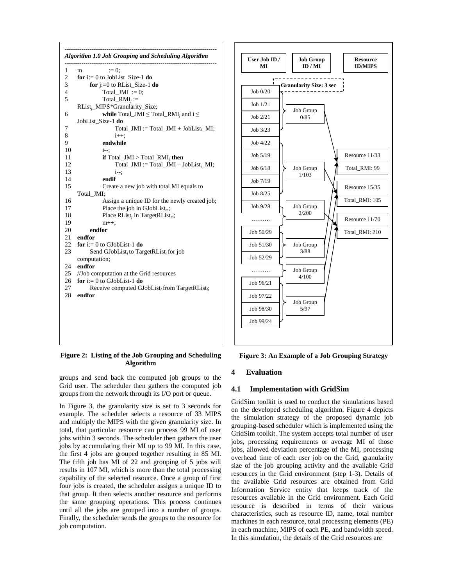| 1              | $:= 0:$<br>m                                                 |
|----------------|--------------------------------------------------------------|
| $\overline{c}$ | for $i=0$ to JobList_Size-1 do                               |
| 3              | for $j:=0$ to RList_Size-1 do                                |
| 4              | Total JMI := 0;                                              |
| 5              | $Total\_RMI_i :=$                                            |
|                | RList <sub>i</sub> _MIPS*Granularity_Size;                   |
| 6              | while Total_JMI $\le$ Total_RMI <sub>i</sub> and i $\le$     |
|                | JobList Size-1 do                                            |
| 7              | $Total\_JMI := Total\_JMI + JobList_i_MI;$                   |
| 8              | $i++$ :                                                      |
| 9              | endwhile                                                     |
| 10             | i--:                                                         |
| 11             | <b>if</b> $Total\_JMI > Total\_RMI$ <sub><i>i</i></sub> then |
| 12             | Total_JMI := Total_JMI - JobList <sub>i_</sub> MI;           |
| 13             | i--:                                                         |
| 14             | endif                                                        |
| 15             | Create a new job with total MI equals to                     |
|                | Total JMI;                                                   |
| 16             | Assign a unique ID for the newly created job;                |
| 17             | Place the job in $GJobList_m$ ;                              |
| 18             | Place RList <sub>i</sub> in TargetRList <sub>m</sub> ;       |
| 19             | $m++;$                                                       |
| 20             | endfor                                                       |
| 21             | endfor                                                       |
| 22             | for $i=0$ to GJobList-1 do                                   |
| 23             | Send GJobList, to TargetRList, for job                       |
|                | computation;                                                 |
| 24             | endfor                                                       |
| 25             | //Job computation at the Grid resources                      |
| 26             | for $i=0$ to GJobList-1 do                                   |
| 27             | Receive computed GJobList, from TargetRList,;                |
| 28             | endfor                                                       |



**Figure 2: Listing of the Job Grouping and Scheduling Algorithm**

groups and send back the computed job groups to the Grid user. The scheduler then gathers the computed job groups from the network through its I/O port or queue.

In Figure 3, the granularity size is set to 3 seconds for example. The scheduler selects a resource of 33 MIPS and multiply the MIPS with the given granularity size. In total, that particular resource can process 99 MI of user jobs within 3 seconds. The scheduler then gathers the user jobs by accumulating their MI up to 99 MI. In this case, the first 4 jobs are grouped together resulting in 85 MI. The fifth job has MI of 22 and grouping of 5 jobs will results in 107 MI, which is more than the total processing capability of the selected resource. Once a group of first four jobs is created, the scheduler assigns a unique ID to that group. It then selects another resource and performs the same grouping operations. This process continues until all the jobs are grouped into a number of groups. Finally, the scheduler sends the groups to the resource for job computation.

**Figure 3: An Example of a Job Grouping Strategy**

# **4 Evaluation**

## **4.1 Implementation with GridSim**

GridSim toolkit is used to conduct the simulations based on the developed scheduling algorithm. Figure 4 depicts the simulation strategy of the proposed dynamic job grouping-based scheduler which is implemented using the GridSim toolkit. The system accepts total number of user jobs, processing requirements or average MI of those jobs, allowed deviation percentage of the MI, processing overhead time of each user job on the Grid, granularity size of the job grouping activity and the available Grid resources in the Grid environment (step 1-3). Details of the available Grid resources are obtained from Grid Information Service entity that keeps track of the resources available in the Grid environment. Each Grid resource is described in terms of their various characteristics, such as resource ID, name, total number machines in each resource, total processing elements (PE) in each machine, MIPS of each PE, and bandwidth speed. In this simulation, the details of the Grid resources are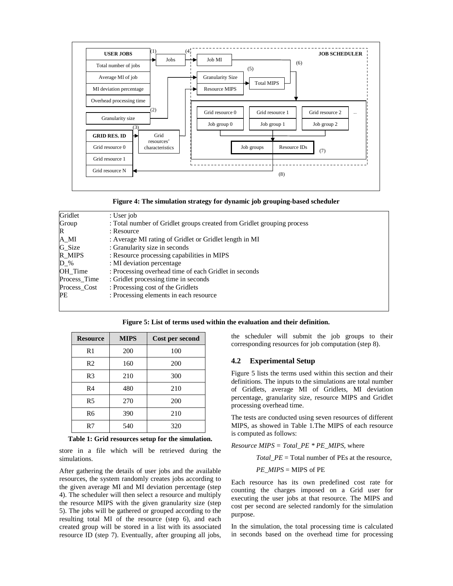

**Figure 4: The simulation strategy for dynamic job grouping-based scheduler**

| Gridlet           | : User job                                                             |  |  |  |
|-------------------|------------------------------------------------------------------------|--|--|--|
| Group             | : Total number of Gridlet groups created from Gridlet grouping process |  |  |  |
| $\mathbb{R}$      | : Resource                                                             |  |  |  |
| $A$ <sub>MI</sub> | : Average MI rating of Gridlet or Gridlet length in MI                 |  |  |  |
| G_Size            | : Granularity size in seconds                                          |  |  |  |
| $R_MIPS$          | : Resource processing capabilities in MIPS                             |  |  |  |
| $D_{\alpha}$ %    | : MI deviation percentage                                              |  |  |  |
| OH Time           | : Processing overhead time of each Gridlet in seconds                  |  |  |  |
| Process Time      | : Gridlet processing time in seconds                                   |  |  |  |
| Process Cost      | : Processing cost of the Gridlets                                      |  |  |  |
| <b>PE</b>         | : Processing elements in each resource                                 |  |  |  |
|                   |                                                                        |  |  |  |

**Figure 5: List of terms used within the evaluation and their definition.**

| <b>Resource</b> | <b>MIPS</b> | Cost per second |
|-----------------|-------------|-----------------|
| R1              | 200         | 100             |
| R <sub>2</sub>  | 160         | 200             |
| R <sub>3</sub>  | 210         | 300             |
| R <sub>4</sub>  | 480         | 210             |
| R <sub>5</sub>  | 270         | 200             |
| R <sub>6</sub>  | 390         | 210             |
| R7              | 540         | 320             |

**Table 1: Grid resources setup for the simulation.**

store in a file which will be retrieved during the simulations.

After gathering the details of user jobs and the available resources, the system randomly creates jobs according to the given average MI and MI deviation percentage (step 4). The scheduler will then select a resource and multiply the resource MIPS with the given granularity size (step 5). The jobs will be gathered or grouped according to the resulting total MI of the resource (step 6), and each created group will be stored in a list with its associated resource ID (step 7). Eventually, after grouping all jobs,

the scheduler will submit the job groups to their corresponding resources for job computation (step 8).

#### **4.2 Experimental Setup**

Figure 5 lists the terms used within this section and their definitions. The inputs to the simulations are total number of Gridlets, average MI of Gridlets, MI deviation percentage, granularity size, resource MIPS and Gridlet processing overhead time.

The tests are conducted using seven resources of different MIPS, as showed in Table 1.The MIPS of each resource is computed as follows:

*Resource MIPS* = *Total PE*  $*$  *PE\_MIPS,* where

*Total\_PE* = Total number of PEs at the resource,

 $PE$   $MIPS = MIPS$  of PE

Each resource has its own predefined cost rate for counting the charges imposed on a Grid user for executing the user jobs at that resource. The MIPS and cost per second are selected randomly for the simulation purpose.

In the simulation, the total processing time is calculated in seconds based on the overhead time for processing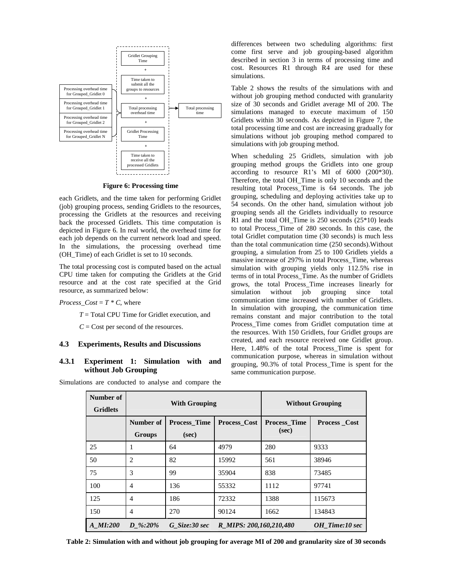

**Figure 6: Processing time**

each Gridlets, and the time taken for performing Gridlet (job) grouping process, sending Gridlets to the resources, processing the Gridlets at the resources and receiving back the processed Gridlets. This time computation is depicted in Figure 6. In real world, the overhead time for each job depends on the current network load and speed. In the simulations, the processing overhead time (OH\_Time) of each Gridlet is set to 10 seconds.

The total processing cost is computed based on the actual CPU time taken for computing the Gridlets at the Grid resource and at the cost rate specified at the Grid resource, as summarized below:

#### *Process*  $Cost = T \times C$ , where

*T* = Total CPU Time for Gridlet execution, and

*C* = Cost per second of the resources.

#### **4.3 Experiments, Results and Discussions**

# **4.3.1 Experiment 1: Simulation with and without Job Grouping**

Simulations are conducted to analyse and compare the

differences between two scheduling algorithms: first come first serve and job grouping-based algorithm described in section 3 in terms of processing time and cost. Resources R1 through R4 are used for these simulations.

Table 2 shows the results of the simulations with and without job grouping method conducted with granularity size of 30 seconds and Gridlet average MI of 200. The simulations managed to execute maximum of 150 Gridlets within 30 seconds. As depicted in Figure 7, the total processing time and cost are increasing gradually for simulations without job grouping method compared to simulations with job grouping method.

When scheduling 25 Gridlets, simulation with job grouping method groups the Gridlets into one group according to resource R1's MI of 6000 (200\*30). Therefore, the total OH\_Time is only 10 seconds and the resulting total Process\_Time is 64 seconds. The job grouping, scheduling and deploying activities take up to 54 seconds. On the other hand, simulation without job grouping sends all the Gridlets individually to resource R1 and the total OH\_Time is 250 seconds (25\*10) leads to total Process\_Time of 280 seconds. In this case, the total Gridlet computation time (30 seconds) is much less than the total communication time (250 seconds).Without grouping, a simulation from 25 to 100 Gridlets yields a massive increase of 297% in total Process\_Time, whereas simulation with grouping yields only 112.5% rise in terms of in total Process\_Time. As the number of Gridlets grows, the total Process\_Time increases linearly for simulation without job grouping since total communication time increased with number of Gridlets. In simulation with grouping, the communication time remains constant and major contribution to the total Process\_Time comes from Gridlet computation time at the resources. With 150 Gridlets, four Gridlet groups are created, and each resource received one Gridlet group. Here, 1.48% of the total Process\_Time is spent for communication purpose, whereas in simulation without grouping, 90.3% of total Process\_Time is spent for the same communication purpose.

| Number of<br><b>Gridlets</b> |                          | <b>With Grouping</b>         |                         | <b>Without Grouping</b>      |                     |  |  |
|------------------------------|--------------------------|------------------------------|-------------------------|------------------------------|---------------------|--|--|
|                              | Number of<br>Groups      | <b>Process Time</b><br>(sec) | Process_Cost            | <b>Process Time</b><br>(sec) | <b>Process_Cost</b> |  |  |
| 25                           | 1                        | 64                           | 4979                    | 280                          | 9333                |  |  |
| 50                           | $\overline{c}$           | 82                           | 15992                   | 561                          | 38946               |  |  |
| 75                           | 3                        | 99                           | 35904                   | 838                          | 73485               |  |  |
| 100                          | $\overline{4}$           | 136                          | 55332                   | 1112                         | 97741               |  |  |
| 125                          | $\overline{4}$           | 186                          | 72332                   | 1388                         | 115673              |  |  |
| 150                          | $\overline{\mathcal{A}}$ | 270                          | 90124                   | 1662                         | 134843              |  |  |
| A MI:200                     | $D\%:20\%$               | G Size:30 sec                | R MIPS: 200,160,210,480 |                              | OH Time:10 sec      |  |  |

Table 2: Simulation with and without job grouping for average MI of 200 and granularity size of 30 seconds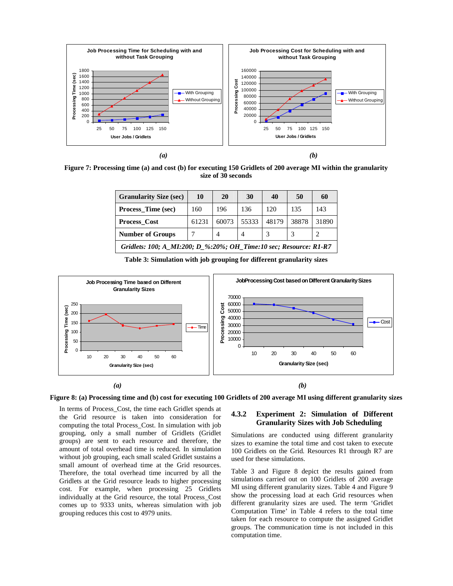

Figure 7: Processing time (a) and cost (b) for executing 150 Gridlets of 200 average MI within the granularity **size of 30 seconds**

| <b>Granularity Size (sec)</b>                                     | 10    | 20    | 30    | 40    | 50    | 60    |  |
|-------------------------------------------------------------------|-------|-------|-------|-------|-------|-------|--|
| <b>Process_Time (sec)</b>                                         | 160   | 196   | 136   | 120   | 135   | 143   |  |
| <b>Process Cost</b>                                               | 61231 | 60073 | 55333 | 48179 | 38878 | 31890 |  |
| <b>Number of Groups</b>                                           |       | 4     | 4     |       |       |       |  |
| Gridlets: 100; A_MI:200; D_%:20%; OH_Time:10 sec; Resource: R1-R7 |       |       |       |       |       |       |  |

**Table 3: Simulation with job grouping for different granularity sizes**



Figure 8: (a) Processing time and (b) cost for executing 100 Gridlets of 200 average MI using different granularity sizes

In terms of Process\_Cost, the time each Gridlet spends at the Grid resource is taken into consideration for computing the total Process\_Cost. In simulation with job grouping, only a small number of Gridlets (Gridlet groups) are sent to each resource and therefore, the amount of total overhead time is reduced. In simulation without job grouping, each small scaled Gridlet sustains a small amount of overhead time at the Grid resources. Therefore, the total overhead time incurred by all the Gridlets at the Grid resource leads to higher processing cost. For example, when processing 25 Gridlets individually at the Grid resource, the total Process\_Cost comes up to 9333 units, whereas simulation with job grouping reduces this cost to 4979 units.

## **4.3.2 Experiment 2: Simulation of Different Granularity Sizes with Job Scheduling**

Simulations are conducted using different granularity sizes to examine the total time and cost taken to execute 100 Gridlets on the Grid. Resources R1 through R7 are used for these simulations.

Table 3 and Figure 8 depict the results gained from simulations carried out on 100 Gridlets of 200 average MI using different granularity sizes. Table 4 and Figure 9 show the processing load at each Grid resources when different granularity sizes are used. The term 'Gridlet Computation Time' in Table 4 refers to the total time taken for each resource to compute the assigned Gridlet groups. The communication time is not included in this computation time.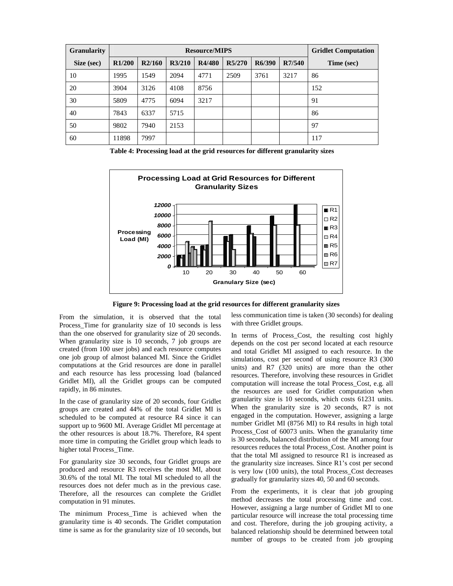| <b>Granularity</b> |                     |        | <b>Gridlet Computation</b> |        |        |        |        |            |
|--------------------|---------------------|--------|----------------------------|--------|--------|--------|--------|------------|
| Size (sec)         | R <sub>1</sub> /200 | R2/160 | R3/210                     | R4/480 | R5/270 | R6/390 | R7/540 | Time (sec) |
| 10                 | 1995                | 549    | 2094                       | 4771   | 2509   | 3761   | 3217   | 86         |
| 20                 | 3904                | 3126   | 4108                       | 8756   |        |        |        | 152        |
| 30                 | 5809                | 4775   | 6094                       | 3217   |        |        |        | 91         |
| 40                 | 7843                | 6337   | 5715                       |        |        |        |        | 86         |
| 50                 | 9802                | 7940   | 2153                       |        |        |        |        | 97         |
| 60                 | 11898               | 7997   |                            |        |        |        |        | 117        |

**Table 4: Processing load at the grid resources for different granularity sizes**



**Figure 9: Processing load at the grid resources for different granularity sizes**

From the simulation, it is observed that the total Process\_Time for granularity size of 10 seconds is less than the one observed for granularity size of 20 seconds. When granularity size is 10 seconds, 7 job groups are created (from 100 user jobs) and each resource computes one job group of almost balanced MI. Since the Gridlet computations at the Grid resources are done in parallel and each resource has less processing load (balanced Gridlet MI), all the Gridlet groups can be computed rapidly, in 86 minutes.

In the case of granularity size of 20 seconds, four Gridlet groups are created and 44% of the total Gridlet MI is scheduled to be computed at resource R4 since it can support up to 9600 MI. Average Gridlet MI percentage at the other resources is about 18.7%. Therefore, R4 spent more time in computing the Gridlet group which leads to higher total Process\_Time.

For granularity size 30 seconds, four Gridlet groups are produced and resource R3 receives the most MI, about 30.6% of the total MI. The total MI scheduled to all the resources does not defer much as in the previous case. Therefore, all the resources can complete the Gridlet computation in 91 minutes.

The minimum Process\_Time is achieved when the granularity time is 40 seconds. The Gridlet computation time is same as for the granularity size of 10 seconds, but less communication time is taken (30 seconds) for dealing with three Gridlet groups.

In terms of Process Cost, the resulting cost highly depends on the cost per second located at each resource and total Gridlet MI assigned to each resource. In the simulations, cost per second of using resource R3 (300 units) and R7 (320 units) are more than the other resources. Therefore, involving these resources in Gridlet computation will increase the total Process\_Cost, e.g. all the resources are used for Gridlet computation when granularity size is 10 seconds, which costs 61231 units. When the granularity size is 20 seconds, R7 is not engaged in the computation. However, assigning a large number Gridlet MI (8756 MI) to R4 results in high total Process\_Cost of 60073 units. When the granularity time is 30 seconds, balanced distribution of the MI among four resources reduces the total Process\_Cost. Another point is that the total MI assigned to resource R1 is increased as the granularity size increases. Since R1's cost per second is very low (100 units), the total Process\_Cost decreases gradually for granularity sizes 40, 50 and 60 seconds.

From the experiments, it is clear that job grouping method decreases the total processing time and cost. However, assigning a large number of Gridlet MI to one particular resource will increase the total processing time and cost. Therefore, during the job grouping activity, a balanced relationship should be determined between total number of groups to be created from job grouping